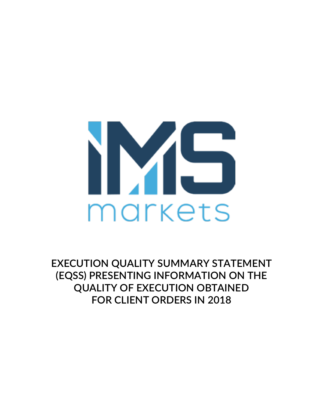

**EXECUTION QUALITY SUMMARY STATEMENT (EQSS) PRESENTING INFORMATION ON THE QUALITY OF EXECUTION OBTAINED FOR CLIENT ORDERS IN 2018**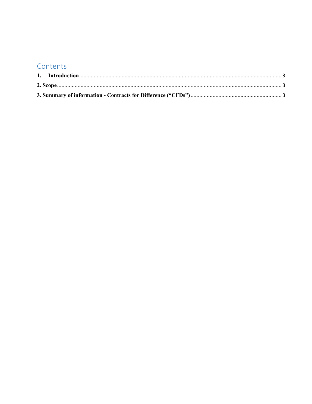# Contents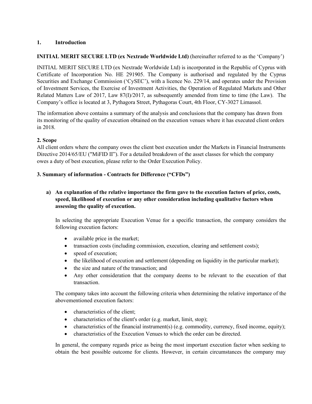## **1. Introduction**

## **INITIAL MERIT SECURE LTD (ex Nextrade Worldwide Ltd)** (hereinafter referred to as the 'Company')

INITIAL MERIT SECURE LTD (ex Nextrade Worldwide Ltd) is incorporated in the Republic of Cyprus with Certificate of Incorporation No. HE 291905. The Company is authorised and regulated by the Cyprus Securities and Exchange Commission ('CySEC'), with a licence No. 229/14, and operates under the Provision of Investment Services, the Exercise of Investment Activities, the Operation of Regulated Markets and Other Related Matters Law of 2017, Law 87(I)/2017, as subsequently amended from time to time (the Law). The Company's office is located at 3, Pythagora Street, Pythagoras Court, 4th Floor, CY-3027 Limassol.

The information above contains a summary of the analysis and conclusions that the company has drawn from its monitoring of the quality of execution obtained on the execution venues where it has executed client orders in 2018.

#### **2. Scope**

All client orders where the company owes the client best execution under the Markets in Financial Instruments Directive 2014/65/EU ("MiFID II"). For a detailed breakdown of the asset classes for which the company owes a duty of best execution, please refer to the Order Execution Policy.

#### **3. Summary of information - Contracts for Difference ("CFDs")**

# **a) An explanation of the relative importance the firm gave to the execution factors of price, costs, speed, likelihood of execution or any other consideration including qualitative factors when assessing the quality of execution.**

In selecting the appropriate Execution Venue for a specific transaction, the company considers the following execution factors:

- available price in the market;
- transaction costs (including commission, execution, clearing and settlement costs);
- speed of execution;
- the likelihood of execution and settlement (depending on liquidity in the particular market);
- the size and nature of the transaction; and
- Any other consideration that the company deems to be relevant to the execution of that transaction.

The company takes into account the following criteria when determining the relative importance of the abovementioned execution factors:

- characteristics of the client;
- characteristics of the client's order (e.g. market, limit, stop);
- characteristics of the financial instrument(s) (e.g. commodity, currency, fixed income, equity);
- characteristics of the Execution Venues to which the order can be directed.

In general, the company regards price as being the most important execution factor when seeking to obtain the best possible outcome for clients. However, in certain circumstances the company may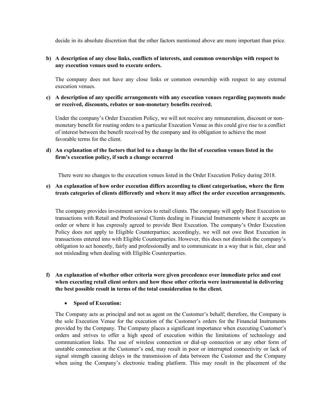decide in its absolute discretion that the other factors mentioned above are more important than price.

#### **b) A description of any close links, conflicts of interests, and common ownerships with respect to any execution venues used to execute orders.**

The company does not have any close links or common ownership with respect to any external execution venues.

## **c) A description of any specific arrangements with any execution venues regarding payments made or received, discounts, rebates or non-monetary benefits received.**

Under the company's Order Execution Policy, we will not receive any remuneration, discount or nonmonetary benefit for routing orders to a particular Execution Venue as this could give rise to a conflict of interest between the benefit received by the company and its obligation to achieve the most favorable terms for the client.

## **d) An explanation of the factors that led to a change in the list of execution venues listed in the firm's execution policy, if such a change occurred**

There were no changes to the execution venues listed in the Order Execution Policy during 2018.

# **e) An explanation of how order execution differs according to client categorisation, where the firm treats categories of clients differently and where it may affect the order execution arrangements.**

The company provides investment services to retail clients. The company will apply Best Execution to transactions with Retail and Professional Clients dealing in Financial Instruments where it accepts an order or where it has expressly agreed to provide Best Execution. The company's Order Execution Policy does not apply to Eligible Counterparties; accordingly, we will not owe Best Execution in transactions entered into with Eligible Counterparties. However, this does not diminish the company's obligation to act honestly, fairly and professionally and to communicate in a way that is fair, clear and not misleading when dealing with Eligible Counterparties.

## **f) An explanation of whether other criteria were given precedence over immediate price and cost when executing retail client orders and how these other criteria were instrumental in delivering the best possible result in terms of the total consideration to the client.**

#### • **Speed of Execution:**

The Company acts as principal and not as agent on the Customer's behalf; therefore, the Company is the sole Execution Venue for the execution of the Customer's orders for the Financial Instruments provided by the Company. The Company places a significant importance when executing Customer's orders and strives to offer a high speed of execution within the limitations of technology and communication links. The use of wireless connection or dial-up connection or any other form of unstable connection at the Customer's end, may result in poor or interrupted connectivity or lack of signal strength causing delays in the transmission of data between the Customer and the Company when using the Company's electronic trading platform. This may result in the placement of the